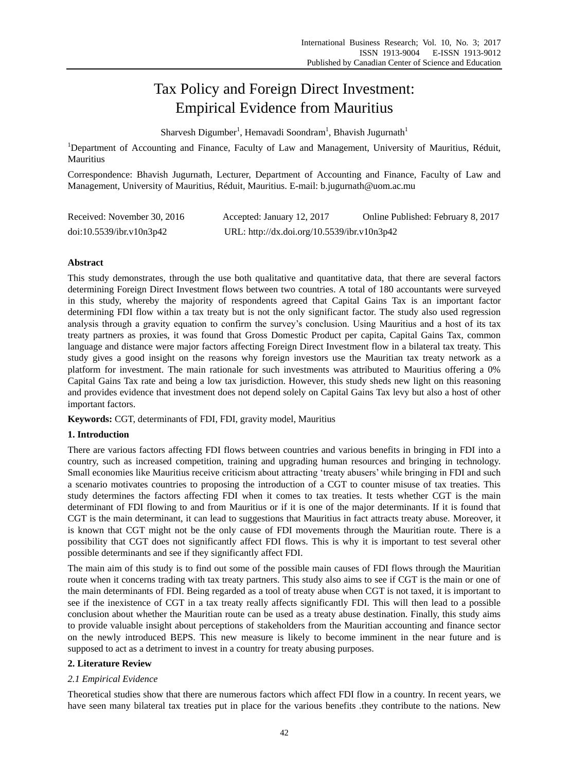# Tax Policy and Foreign Direct Investment: Empirical Evidence from Mauritius

Sharvesh Digumber<sup>1</sup>, Hemavadi Soondram<sup>1</sup>, Bhavish Jugurnath<sup>1</sup>

<sup>1</sup>Department of Accounting and Finance, Faculty of Law and Management, University of Mauritius, Réduit, **Mauritius** 

Correspondence: Bhavish Jugurnath, Lecturer, Department of Accounting and Finance, Faculty of Law and Management, University of Mauritius, Réduit, Mauritius. E-mail: b.jugurnath@uom.ac.mu

| Received: November 30, 2016 | Accepted: January 12, 2017                  | Online Published: February 8, 2017 |
|-----------------------------|---------------------------------------------|------------------------------------|
| doi:10.5539/ibr.v10n3p42    | URL: http://dx.doi.org/10.5539/ibr.v10n3p42 |                                    |

# **Abstract**

This study demonstrates, through the use both qualitative and quantitative data, that there are several factors determining Foreign Direct Investment flows between two countries. A total of 180 accountants were surveyed in this study, whereby the majority of respondents agreed that Capital Gains Tax is an important factor determining FDI flow within a tax treaty but is not the only significant factor. The study also used regression analysis through a gravity equation to confirm the survey"s conclusion. Using Mauritius and a host of its tax treaty partners as proxies, it was found that Gross Domestic Product per capita, Capital Gains Tax, common language and distance were major factors affecting Foreign Direct Investment flow in a bilateral tax treaty. This study gives a good insight on the reasons why foreign investors use the Mauritian tax treaty network as a platform for investment. The main rationale for such investments was attributed to Mauritius offering a 0% Capital Gains Tax rate and being a low tax jurisdiction. However, this study sheds new light on this reasoning and provides evidence that investment does not depend solely on Capital Gains Tax levy but also a host of other important factors.

**Keywords:** CGT, determinants of FDI, FDI, gravity model, Mauritius

## **1. Introduction**

There are various factors affecting FDI flows between countries and various benefits in bringing in FDI into a country, such as increased competition, training and upgrading human resources and bringing in technology. Small economies like Mauritius receive criticism about attracting 'treaty abusers' while bringing in FDI and such a scenario motivates countries to proposing the introduction of a CGT to counter misuse of tax treaties. This study determines the factors affecting FDI when it comes to tax treaties. It tests whether CGT is the main determinant of FDI flowing to and from Mauritius or if it is one of the major determinants. If it is found that CGT is the main determinant, it can lead to suggestions that Mauritius in fact attracts treaty abuse. Moreover, it is known that CGT might not be the only cause of FDI movements through the Mauritian route. There is a possibility that CGT does not significantly affect FDI flows. This is why it is important to test several other possible determinants and see if they significantly affect FDI.

The main aim of this study is to find out some of the possible main causes of FDI flows through the Mauritian route when it concerns trading with tax treaty partners. This study also aims to see if CGT is the main or one of the main determinants of FDI. Being regarded as a tool of treaty abuse when CGT is not taxed, it is important to see if the inexistence of CGT in a tax treaty really affects significantly FDI. This will then lead to a possible conclusion about whether the Mauritian route can be used as a treaty abuse destination. Finally, this study aims to provide valuable insight about perceptions of stakeholders from the Mauritian accounting and finance sector on the newly introduced BEPS. This new measure is likely to become imminent in the near future and is supposed to act as a detriment to invest in a country for treaty abusing purposes.

## **2. Literature Review**

## *2.1 Empirical Evidence*

Theoretical studies show that there are numerous factors which affect FDI flow in a country. In recent years, we have seen many bilateral tax treaties put in place for the various benefits .they contribute to the nations. New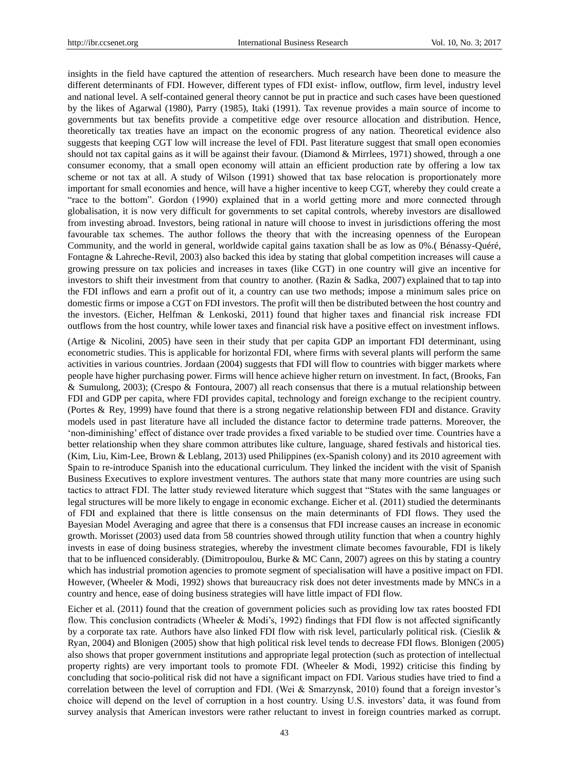insights in the field have captured the attention of researchers. Much research have been done to measure the different determinants of FDI. However, different types of FDI exist- inflow, outflow, firm level, industry level and national level. A self-contained general theory cannot be put in practice and such cases have been questioned by the likes of Agarwal (1980), Parry (1985), Itaki (1991). Tax revenue provides a main source of income to governments but tax benefits provide a competitive edge over resource allocation and distribution. Hence, theoretically tax treaties have an impact on the economic progress of any nation. Theoretical evidence also suggests that keeping CGT low will increase the level of FDI. Past literature suggest that small open economies should not tax capital gains as it will be against their favour. (Diamond & Mirrlees, 1971) showed, through a one consumer economy, that a small open economy will attain an efficient production rate by offering a low tax scheme or not tax at all. A study of Wilson (1991) showed that tax base relocation is proportionately more important for small economies and hence, will have a higher incentive to keep CGT, whereby they could create a "race to the bottom". Gordon (1990) explained that in a world getting more and more connected through globalisation, it is now very difficult for governments to set capital controls, whereby investors are disallowed from investing abroad. Investors, being rational in nature will choose to invest in jurisdictions offering the most favourable tax schemes. The author follows the theory that with the increasing openness of the European Community, and the world in general, worldwide capital gains taxation shall be as low as 0%.(Bénassy-Quéré, Fontagne & Lahreche-Revil, 2003) also backed this idea by stating that global competition increases will cause a growing pressure on tax policies and increases in taxes (like CGT) in one country will give an incentive for investors to shift their investment from that country to another. (Razin & Sadka, 2007) explained that to tap into the FDI inflows and earn a profit out of it, a country can use two methods; impose a minimum sales price on domestic firms or impose a CGT on FDI investors. The profit will then be distributed between the host country and the investors. (Eicher, Helfman & Lenkoski, 2011) found that higher taxes and financial risk increase FDI outflows from the host country, while lower taxes and financial risk have a positive effect on investment inflows.

(Artige & Nicolini, 2005) have seen in their study that per capita GDP an important FDI determinant, using econometric studies. This is applicable for horizontal FDI, where firms with several plants will perform the same activities in various countries. Jordaan (2004) suggests that FDI will flow to countries with bigger markets where people have higher purchasing power. Firms will hence achieve higher return on investment. In fact, (Brooks, Fan & Sumulong, 2003); (Crespo & Fontoura, 2007) all reach consensus that there is a mutual relationship between FDI and GDP per capita, where FDI provides capital, technology and foreign exchange to the recipient country. (Portes & Rey, 1999) have found that there is a strong negative relationship between FDI and distance. Gravity models used in past literature have all included the distance factor to determine trade patterns. Moreover, the "non-diminishing" effect of distance over trade provides a fixed variable to be studied over time. Countries have a better relationship when they share common attributes like culture, language, shared festivals and historical ties. (Kim, Liu, Kim-Lee, Brown & Leblang, 2013) used Philippines (ex-Spanish colony) and its 2010 agreement with Spain to re-introduce Spanish into the educational curriculum. They linked the incident with the visit of Spanish Business Executives to explore investment ventures. The authors state that many more countries are using such tactics to attract FDI. The latter study reviewed literature which suggest that "States with the same languages or legal structures will be more likely to engage in economic exchange. Eicher et al. (2011) studied the determinants of FDI and explained that there is little consensus on the main determinants of FDI flows. They used the Bayesian Model Averaging and agree that there is a consensus that FDI increase causes an increase in economic growth. Morisset (2003) used data from 58 countries showed through utility function that when a country highly invests in ease of doing business strategies, whereby the investment climate becomes favourable, FDI is likely that to be influenced considerably. (Dimitropoulou, Burke & MC Cann, 2007) agrees on this by stating a country which has industrial promotion agencies to promote segment of specialisation will have a positive impact on FDI. However, (Wheeler & Modi, 1992) shows that bureaucracy risk does not deter investments made by MNCs in a country and hence, ease of doing business strategies will have little impact of FDI flow.

Eicher et al. (2011) found that the creation of government policies such as providing low tax rates boosted FDI flow. This conclusion contradicts (Wheeler & Modi's, 1992) findings that FDI flow is not affected significantly by a corporate tax rate. Authors have also linked FDI flow with risk level, particularly political risk. (Cieslik & Ryan, 2004) and Blonigen (2005) show that high political risk level tends to decrease FDI flows. Blonigen (2005) also shows that proper government institutions and appropriate legal protection (such as protection of intellectual property rights) are very important tools to promote FDI. (Wheeler & Modi, 1992) criticise this finding by concluding that socio-political risk did not have a significant impact on FDI. Various studies have tried to find a correlation between the level of corruption and FDI. (Wei  $&$  Smarzynsk, 2010) found that a foreign investor's choice will depend on the level of corruption in a host country. Using U.S. investors" data, it was found from survey analysis that American investors were rather reluctant to invest in foreign countries marked as corrupt.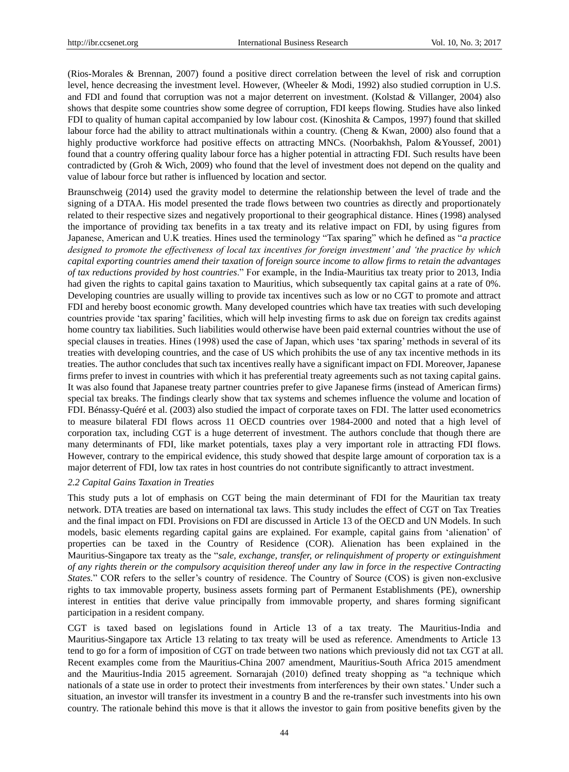(Rios-Morales & Brennan, 2007) found a positive direct correlation between the level of risk and corruption level, hence decreasing the investment level. However, (Wheeler & Modi, 1992) also studied corruption in U.S. and FDI and found that corruption was not a major deterrent on investment. (Kolstad & Villanger, 2004) also shows that despite some countries show some degree of corruption, FDI keeps flowing. Studies have also linked FDI to quality of human capital accompanied by low labour cost. (Kinoshita & Campos, 1997) found that skilled labour force had the ability to attract multinationals within a country. (Cheng & Kwan, 2000) also found that a highly productive workforce had positive effects on attracting MNCs. (Noorbakhsh, Palom &Youssef, 2001) found that a country offering quality labour force has a higher potential in attracting FDI. Such results have been contradicted by (Groh & Wich, 2009) who found that the level of investment does not depend on the quality and value of labour force but rather is influenced by location and sector.

Braunschweig (2014) used the gravity model to determine the relationship between the level of trade and the signing of a DTAA. His model presented the trade flows between two countries as directly and proportionately related to their respective sizes and negatively proportional to their geographical distance. Hines (1998) analysed the importance of providing tax benefits in a tax treaty and its relative impact on FDI, by using figures from Japanese, American and U.K treaties. Hines used the terminology "Tax sparing" which he defined as "*a practice designed to promote the effectiveness of local tax incentives for foreign investment' and 'the practice by which capital exporting countries amend their taxation of foreign source income to allow firms to retain the advantages of tax reductions provided by host countries*." For example, in the India-Mauritius tax treaty prior to 2013, India had given the rights to capital gains taxation to Mauritius, which subsequently tax capital gains at a rate of 0%. Developing countries are usually willing to provide tax incentives such as low or no CGT to promote and attract FDI and hereby boost economic growth. Many developed countries which have tax treaties with such developing countries provide "tax sparing" facilities, which will help investing firms to ask due on foreign tax credits against home country tax liabilities. Such liabilities would otherwise have been paid external countries without the use of special clauses in treaties. Hines (1998) used the case of Japan, which uses "tax sparing" methods in several of its treaties with developing countries, and the case of US which prohibits the use of any tax incentive methods in its treaties. The author concludes that such tax incentives really have a significant impact on FDI. Moreover, Japanese firms prefer to invest in countries with which it has preferential treaty agreements such as not taxing capital gains. It was also found that Japanese treaty partner countries prefer to give Japanese firms (instead of American firms) special tax breaks. The findings clearly show that tax systems and schemes influence the volume and location of FDI. Bénassy-Quéré et al. (2003) also studied the impact of corporate taxes on FDI. The latter used econometrics to measure bilateral FDI flows across 11 OECD countries over 1984-2000 and noted that a high level of corporation tax, including CGT is a huge deterrent of investment. The authors conclude that though there are many determinants of FDI, like market potentials, taxes play a very important role in attracting FDI flows. However, contrary to the empirical evidence, this study showed that despite large amount of corporation tax is a major deterrent of FDI, low tax rates in host countries do not contribute significantly to attract investment.

#### *2.2 Capital Gains Taxation in Treaties*

This study puts a lot of emphasis on CGT being the main determinant of FDI for the Mauritian tax treaty network. DTA treaties are based on international tax laws. This study includes the effect of CGT on Tax Treaties and the final impact on FDI. Provisions on FDI are discussed in Article 13 of the OECD and UN Models. In such models, basic elements regarding capital gains are explained. For example, capital gains from "alienation" of properties can be taxed in the Country of Residence (COR). Alienation has been explained in the Mauritius-Singapore tax treaty as the "*sale, exchange, transfer, or relinquishment of property or extinguishment of any rights therein or the compulsory acquisition thereof under any law in force in the respective Contracting States.*" COR refers to the seller's country of residence. The Country of Source (COS) is given non-exclusive rights to tax immovable property, business assets forming part of Permanent Establishments (PE), ownership interest in entities that derive value principally from immovable property, and shares forming significant participation in a resident company.

CGT is taxed based on legislations found in Article 13 of a tax treaty. The Mauritius-India and Mauritius-Singapore tax Article 13 relating to tax treaty will be used as reference. Amendments to Article 13 tend to go for a form of imposition of CGT on trade between two nations which previously did not tax CGT at all. Recent examples come from the Mauritius-China 2007 amendment, Mauritius-South Africa 2015 amendment and the Mauritius-India 2015 agreement. Sornarajah (2010) defined treaty shopping as "a technique which nationals of a state use in order to protect their investments from interferences by their own states." Under such a situation, an investor will transfer its investment in a country B and the re-transfer such investments into his own country. The rationale behind this move is that it allows the investor to gain from positive benefits given by the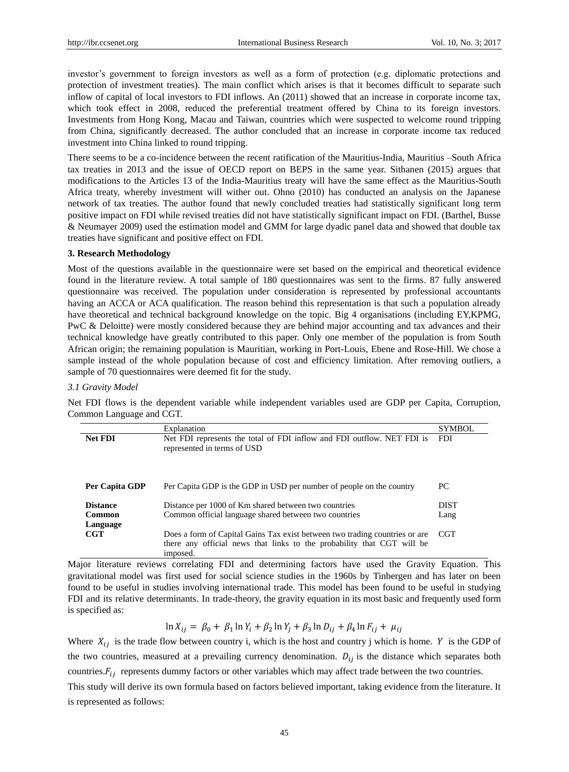investor's government to foreign investors as well as a form of protection (e.g. diplomatic protections and protection of investment treaties). The main conflict which arises is that it becomes difficult to separate such inflow of capital of local investors to FDI inflows. An (2011) showed that an increase in corporate income tax, which took effect in 2008, reduced the preferential treatment offered by China to its foreign investors. Investments from Hong Kong, Macau and Taiwan, countries which were suspected to welcome round tripping from China, significantly decreased. The author concluded that an increase in corporate income tax reduced investment into China linked to round tripping.

There seems to be a co-incidence between the recent ratification of the Mauritius-India, Mauritius –South Africa tax treaties in 2013 and the issue of OECD report on BEPS in the same year. Sithanen (2015) argues that modifications to the Articles 13 of the India-Mauritius treaty will have the same effect as the Mauritius-South Africa treaty, whereby investment will wither out. Ohno (2010) has conducted an analysis on the Japanese network of tax treaties. The author found that newly concluded treaties had statistically significant long term positive impact on FDI while revised treaties did not have statistically significant impact on FDI. (Barthel, Busse & Neumayer 2009) used the estimation model and GMM for large dyadic panel data and showed that double tax treaties have significant and positive effect on FDI.

#### **3. Research Methodology**

Most of the questions available in the questionnaire were set based on the empirical and theoretical evidence found in the literature review. A total sample of 180 questionnaires was sent to the firms. 87 fully answered questionnaire was received. The population under consideration is represented by professional accountants having an ACCA or ACA qualification. The reason behind this representation is that such a population already have theoretical and technical background knowledge on the topic. Big 4 organisations (including EY,KPMG, PwC & Deloitte) were mostly considered because they are behind major accounting and tax advances and their technical knowledge have greatly contributed to this paper. Only one member of the population is from South African origin; the remaining population is Mauritian, working in Port-Louis, Ebene and Rose-Hill. We chose a sample instead of the whole population because of cost and efficiency limitation. After removing outliers, a sample of 70 questionnaires were deemed fit for the study.

## *3.1 Gravity Model*

Net FDI flows is the dependent variable while independent variables used are GDP per Capita, Corruption, Common Language and CGT.

|                 | Explanation                                                                                                                                                       | <b>SYMBOL</b> |
|-----------------|-------------------------------------------------------------------------------------------------------------------------------------------------------------------|---------------|
| <b>Net FDI</b>  | Net FDI represents the total of FDI inflow and FDI outflow. NET FDI is<br>represented in terms of USD                                                             | <b>FDI</b>    |
| Per Capita GDP  | Per Capita GDP is the GDP in USD per number of people on the country                                                                                              | PC            |
| <b>Distance</b> | Distance per 1000 of Km shared between two countries                                                                                                              | <b>DIST</b>   |
| Common          | Common official language shared between two countries                                                                                                             | Lang          |
| Language        |                                                                                                                                                                   |               |
| $_{\rm CGT}$    | Does a form of Capital Gains Tax exist between two trading countries or are<br>there any official news that links to the probability that CGT will be<br>imposed. | <b>CGT</b>    |

Major literature reviews correlating FDI and determining factors have used the Gravity Equation. This gravitational model was first used for social science studies in the 1960s by Tinbergen and has later on been found to be useful in studies involving international trade. This model has been found to be useful in studying FDI and its relative determinants. In trade-theory, the gravity equation in its most basic and frequently used form is specified as:

 $\ln X_{ij} = \beta_0 + \beta_1 \ln Y_i + \beta_2 \ln Y_j + \beta_3 \ln D_{ij} + \beta_4 \ln F_{ij} + \mu_{ij}$ 

Where  $X_{ij}$  is the trade flow between country i, which is the host and country j which is home. *Y* is the GDP of the two countries, measured at a prevailing currency denomination.  $D_{ij}$  is the distance which separates both countries.  $F_{ij}$  represents dummy factors or other variables which may affect trade between the two countries.

This study will derive its own formula based on factors believed important, taking evidence from the literature. It is represented as follows: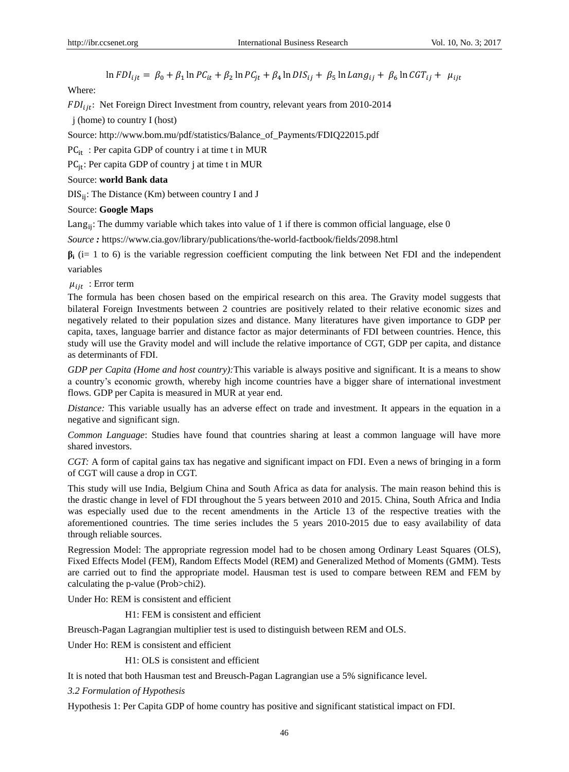$\ln FDI_{ijt} = \beta_0 + \beta_1 \ln PC_{it} + \beta_2 \ln PC_{jt} + \beta_4 \ln DIS_{ij} + \beta_5 \ln Lang_{ij} + \beta_6 \ln CGT_{ij} + \mu_{ijt}$ 

## Where:

 $FDI_{ij}$ : Net Foreign Direct Investment from country, relevant years from 2010-2014

j (home) to country I (host)

Source: http://www.bom.mu/pdf/statistics/Balance\_of\_Payments/FDIQ22015.pdf

PC<sub>it</sub>: Per capita GDP of country i at time t in MUR

PC<sub>it</sub>: Per capita GDP of country j at time t in MUR

## Source: **world Bank data**

 $DIS_{ii}$ : The Distance (Km) between country I and J

## Source: **Google Maps**

Lang<sub>ii</sub>: The dummy variable which takes into value of 1 if there is common official language, else 0

*Source :* https://www.cia.gov/library/publications/the-world-factbook/fields/2098.html

 $\beta$ **i** (i= 1 to 6) is the variable regression coefficient computing the link between Net FDI and the independent variables

 $\mu_{i}$ : Error term

The formula has been chosen based on the empirical research on this area. The Gravity model suggests that bilateral Foreign Investments between 2 countries are positively related to their relative economic sizes and negatively related to their population sizes and distance. Many literatures have given importance to GDP per capita, taxes, language barrier and distance factor as major determinants of FDI between countries. Hence, this study will use the Gravity model and will include the relative importance of CGT, GDP per capita, and distance as determinants of FDI.

*GDP per Capita (Home and host country):* This variable is always positive and significant. It is a means to show a country"s economic growth, whereby high income countries have a bigger share of international investment flows. GDP per Capita is measured in MUR at year end.

*Distance:* This variable usually has an adverse effect on trade and investment. It appears in the equation in a negative and significant sign.

*Common Language*: Studies have found that countries sharing at least a common language will have more shared investors.

*CGT:* A form of capital gains tax has negative and significant impact on FDI. Even a news of bringing in a form of CGT will cause a drop in CGT.

This study will use India, Belgium China and South Africa as data for analysis. The main reason behind this is the drastic change in level of FDI throughout the 5 years between 2010 and 2015. China, South Africa and India was especially used due to the recent amendments in the Article 13 of the respective treaties with the aforementioned countries. The time series includes the 5 years 2010-2015 due to easy availability of data through reliable sources.

Regression Model: The appropriate regression model had to be chosen among Ordinary Least Squares (OLS), Fixed Effects Model (FEM), Random Effects Model (REM) and Generalized Method of Moments (GMM). Tests are carried out to find the appropriate model. Hausman test is used to compare between REM and FEM by calculating the p-value (Prob>chi2).

Under Ho: REM is consistent and efficient

H1: FEM is consistent and efficient

Breusch-Pagan Lagrangian multiplier test is used to distinguish between REM and OLS.

Under Ho: REM is consistent and efficient

H1: OLS is consistent and efficient

It is noted that both Hausman test and Breusch-Pagan Lagrangian use a 5% significance level.

*3.2 Formulation of Hypothesis*

Hypothesis 1: Per Capita GDP of home country has positive and significant statistical impact on FDI.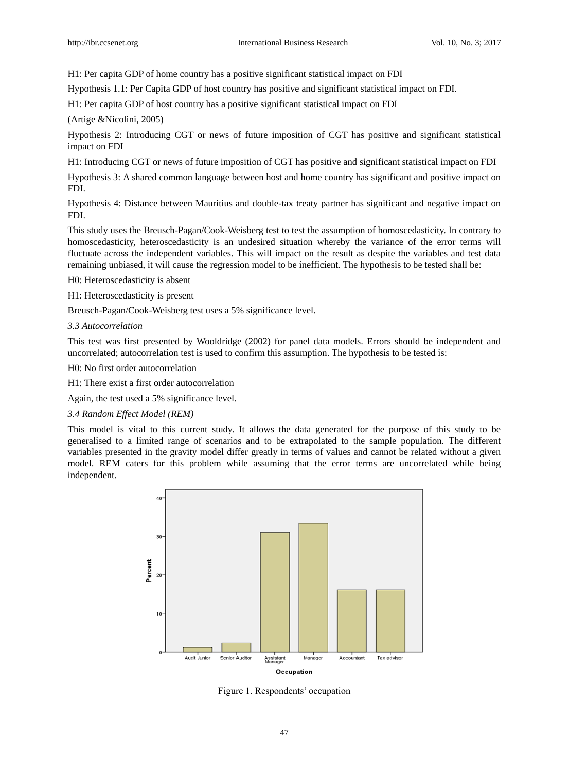H1: Per capita GDP of home country has a positive significant statistical impact on FDI

Hypothesis 1.1: Per Capita GDP of host country has positive and significant statistical impact on FDI.

H1: Per capita GDP of host country has a positive significant statistical impact on FDI

(Artige &Nicolini, 2005)

Hypothesis 2: Introducing CGT or news of future imposition of CGT has positive and significant statistical impact on FDI

H1: Introducing CGT or news of future imposition of CGT has positive and significant statistical impact on FDI

Hypothesis 3: A shared common language between host and home country has significant and positive impact on FDI.

Hypothesis 4: Distance between Mauritius and double-tax treaty partner has significant and negative impact on FDI.

This study uses the Breusch-Pagan/Cook-Weisberg test to test the assumption of homoscedasticity. In contrary to homoscedasticity, heteroscedasticity is an undesired situation whereby the variance of the error terms will fluctuate across the independent variables. This will impact on the result as despite the variables and test data remaining unbiased, it will cause the regression model to be inefficient. The hypothesis to be tested shall be:

H0: Heteroscedasticity is absent

H1: Heteroscedasticity is present

Breusch-Pagan/Cook-Weisberg test uses a 5% significance level.

*3.3 Autocorrelation*

This test was first presented by Wooldridge (2002) for panel data models. Errors should be independent and uncorrelated; autocorrelation test is used to confirm this assumption. The hypothesis to be tested is:

H0: No first order autocorrelation

H1: There exist a first order autocorrelation

Again, the test used a 5% significance level.

*3.4 Random Effect Model (REM)*

This model is vital to this current study. It allows the data generated for the purpose of this study to be generalised to a limited range of scenarios and to be extrapolated to the sample population. The different variables presented in the gravity model differ greatly in terms of values and cannot be related without a given model. REM caters for this problem while assuming that the error terms are uncorrelated while being independent.



Figure 1. Respondents' occupation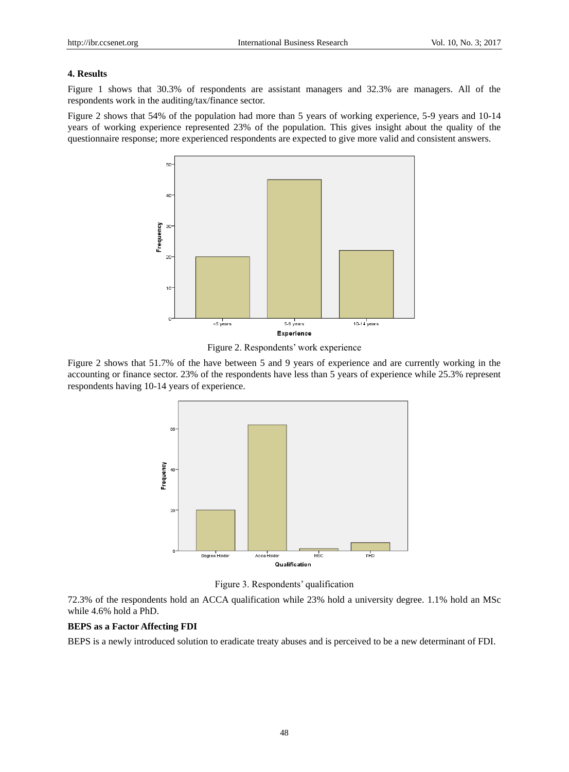## **4. Results**

Figure 1 shows that 30.3% of respondents are assistant managers and 32.3% are managers. All of the respondents work in the auditing/tax/finance sector.

Figure 2 shows that 54% of the population had more than 5 years of working experience, 5-9 years and 10-14 years of working experience represented 23% of the population. This gives insight about the quality of the questionnaire response; more experienced respondents are expected to give more valid and consistent answers.





Figure 2 shows that 51.7% of the have between 5 and 9 years of experience and are currently working in the accounting or finance sector. 23% of the respondents have less than 5 years of experience while 25.3% represent respondents having 10-14 years of experience.



Figure 3. Respondents' qualification

72.3% of the respondents hold an ACCA qualification while 23% hold a university degree. 1.1% hold an MSc while 4.6% hold a PhD.

## **BEPS as a Factor Affecting FDI**

BEPS is a newly introduced solution to eradicate treaty abuses and is perceived to be a new determinant of FDI.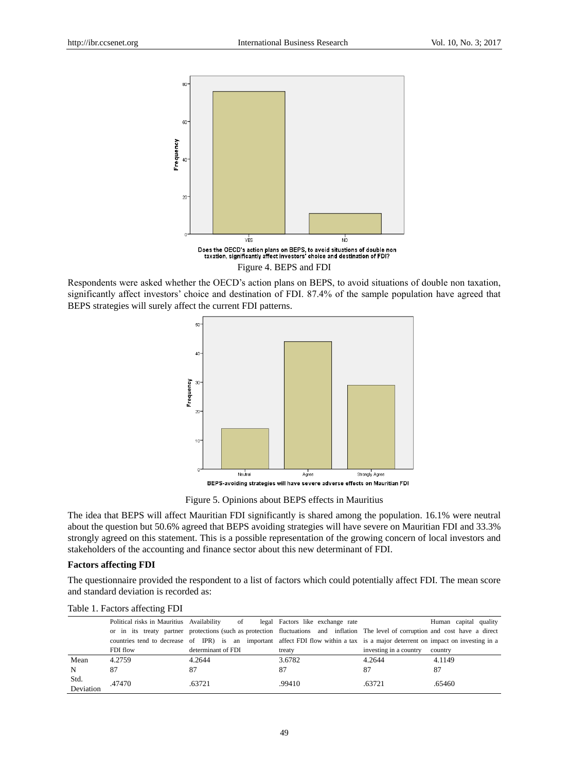

Figure 4. BEPS and FDI

Respondents were asked whether the OECD"s action plans on BEPS, to avoid situations of double non taxation, significantly affect investors' choice and destination of FDI. 87.4% of the sample population have agreed that BEPS strategies will surely affect the current FDI patterns.



Figure 5. Opinions about BEPS effects in Mauritius

The idea that BEPS will affect Mauritian FDI significantly is shared among the population. 16.1% were neutral about the question but 50.6% agreed that BEPS avoiding strategies will have severe on Mauritian FDI and 33.3% strongly agreed on this statement. This is a possible representation of the growing concern of local investors and stakeholders of the accounting and finance sector about this new determinant of FDI.

## **Factors affecting FDI**

The questionnaire provided the respondent to a list of factors which could potentially affect FDI. The mean score and standard deviation is recorded as:

|                   | Political risks in Mauritius Availability |                    | of legal Factors like exchange rate | Human capital quality                                                                                                              |
|-------------------|-------------------------------------------|--------------------|-------------------------------------|------------------------------------------------------------------------------------------------------------------------------------|
|                   |                                           |                    |                                     | or in its treaty partner protections (such as protection fluctuations and inflation The level of corruption and cost have a direct |
|                   |                                           |                    |                                     | countries tend to decrease of IPR) is an important affect FDI flow within a tax is a major deterrent on impact on investing in a   |
|                   | FDI flow                                  | determinant of FDI | treaty                              | investing in a country<br>country                                                                                                  |
| Mean              | 4.2759                                    | 4.2644             | 3.6782                              | 4.2644<br>4.1149                                                                                                                   |
| N                 | 87                                        | 87                 | 87                                  | 87<br>87                                                                                                                           |
| Std.<br>Deviation | .47470                                    | .63721             | .99410                              | .63721<br>.65460                                                                                                                   |

Table 1. Factors affecting FDI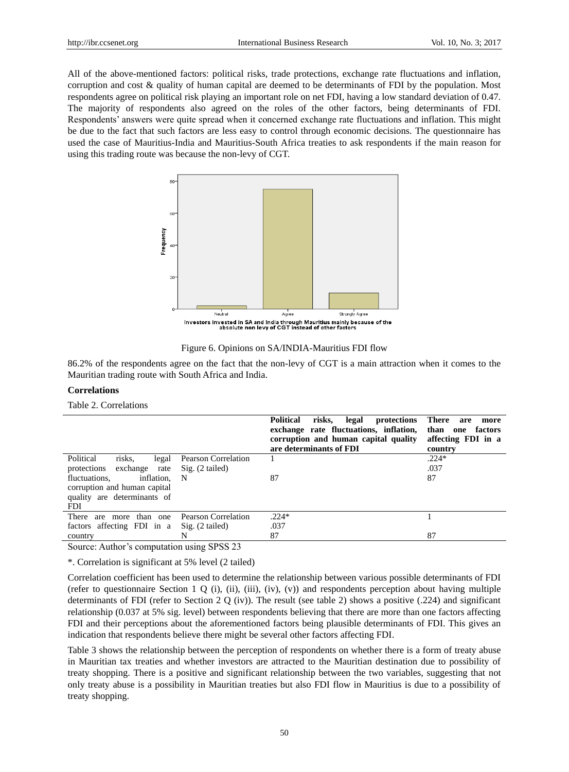All of the above-mentioned factors: political risks, trade protections, exchange rate fluctuations and inflation, corruption and cost & quality of human capital are deemed to be determinants of FDI by the population. Most respondents agree on political risk playing an important role on net FDI, having a low standard deviation of 0.47. The majority of respondents also agreed on the roles of the other factors, being determinants of FDI. Respondents' answers were quite spread when it concerned exchange rate fluctuations and inflation. This might be due to the fact that such factors are less easy to control through economic decisions. The questionnaire has used the case of Mauritius-India and Mauritius-South Africa treaties to ask respondents if the main reason for using this trading route was because the non-levy of CGT.





86.2% of the respondents agree on the fact that the non-levy of CGT is a main attraction when it comes to the Mauritian trading route with South Africa and India.

#### **Correlations**

Table 2. Correlations

|                                    |                                    | risks,<br><b>Political</b><br>protections<br>legal<br>exchange rate fluctuations, inflation,<br>corruption and human capital quality<br>are determinants of FDI | There<br>are<br>more<br>than one factors<br>affecting FDI in a<br>country |
|------------------------------------|------------------------------------|-----------------------------------------------------------------------------------------------------------------------------------------------------------------|---------------------------------------------------------------------------|
| Political<br>risks.<br>legal       | <b>Pearson Correlation</b>         |                                                                                                                                                                 | $.224*$                                                                   |
| exchange rate<br>protections       | $\text{Sig.}$ (2 tailed)           |                                                                                                                                                                 | .037                                                                      |
| fluctuations.<br>inflation. N      |                                    | 87                                                                                                                                                              | 87                                                                        |
| corruption and human capital       |                                    |                                                                                                                                                                 |                                                                           |
| quality are determinants of        |                                    |                                                                                                                                                                 |                                                                           |
| <b>FDI</b>                         |                                    |                                                                                                                                                                 |                                                                           |
| are more than one<br>There         | Pearson Correlation                | $.224*$                                                                                                                                                         |                                                                           |
| factors affecting FDI in a         | $\mathrm{Sig.}$ (2 tailed)         | .037                                                                                                                                                            |                                                                           |
| country                            | N                                  | 87                                                                                                                                                              | 87                                                                        |
| $\sim$ $\sim$ $\sim$ $\sim$ $\sim$ | $\sim$ $\sim$ $\sim$ $\sim$ $\sim$ |                                                                                                                                                                 |                                                                           |

Source: Author's computation using SPSS 23

\*. Correlation is significant at 5% level (2 tailed)

Correlation coefficient has been used to determine the relationship between various possible determinants of FDI (refer to questionnaire Section 1 Q (i), (ii), (iii), (iv), (v)) and respondents perception about having multiple determinants of FDI (refer to Section 2 Q (iv)). The result (see table 2) shows a positive  $(.224)$  and significant relationship (0.037 at 5% sig. level) between respondents believing that there are more than one factors affecting FDI and their perceptions about the aforementioned factors being plausible determinants of FDI. This gives an indication that respondents believe there might be several other factors affecting FDI.

Table 3 shows the relationship between the perception of respondents on whether there is a form of treaty abuse in Mauritian tax treaties and whether investors are attracted to the Mauritian destination due to possibility of treaty shopping. There is a positive and significant relationship between the two variables, suggesting that not only treaty abuse is a possibility in Mauritian treaties but also FDI flow in Mauritius is due to a possibility of treaty shopping.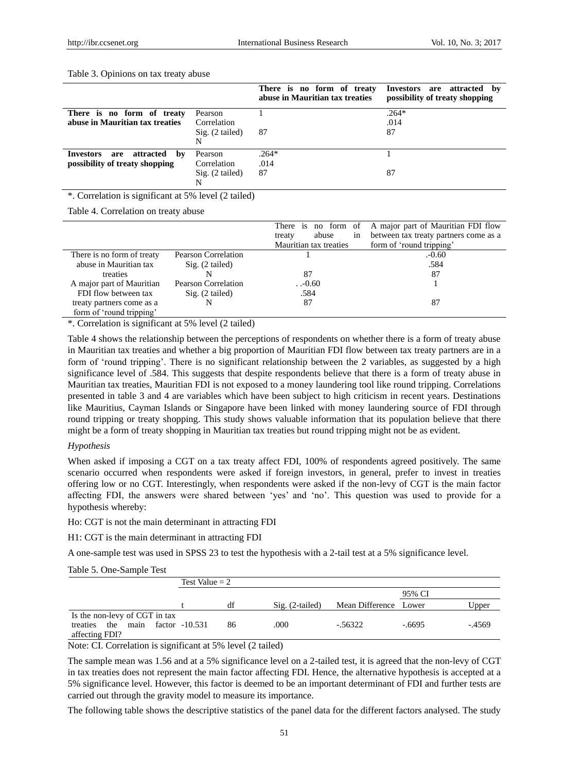## Table 3. Opinions on tax treaty abuse

|                                 |                   | There is no form of treaty<br>abuse in Mauritian tax treaties | Investors are attracted by<br>possibility of treaty shopping |
|---------------------------------|-------------------|---------------------------------------------------------------|--------------------------------------------------------------|
| There is no form of treaty      | Pearson           |                                                               | $.264*$                                                      |
| abuse in Mauritian tax treaties | Correlation       |                                                               | .014                                                         |
|                                 | Sig. (2 tailed)   | 87                                                            | 87                                                           |
|                                 | N                 |                                                               |                                                              |
| are attracted by<br>Investors   | Pearson           | $.264*$                                                       |                                                              |
| possibility of treaty shopping  | Correlation       | .014                                                          |                                                              |
|                                 | $Sig. (2-tailed)$ | 87                                                            | 87                                                           |
|                                 | N                 |                                                               |                                                              |

\*. Correlation is significant at 5% level (2 tailed)

Table 4. Correlation on treaty abuse

|                            |                     | There is no form of    | A major part of Mauritian FDI flow    |
|----------------------------|---------------------|------------------------|---------------------------------------|
|                            |                     | abuse<br>treaty<br>1n  | between tax treaty partners come as a |
|                            |                     | Mauritian tax treaties | form of 'round tripping'              |
| There is no form of treaty | Pearson Correlation |                        | $-0.60$                               |
| abuse in Mauritian tax     | $Sig. (2-tailed)$   |                        | .584                                  |
| treaties                   |                     | 87                     | 87                                    |
| A major part of Mauritian  | Pearson Correlation | $. -0.60$              |                                       |
| FDI flow between tax       | Sig. (2 tailed)     | .584                   |                                       |
| treaty partners come as a  | N                   | 87                     | 87                                    |
| form of 'round tripping'   |                     |                        |                                       |

\*. Correlation is significant at 5% level (2 tailed)

Table 4 shows the relationship between the perceptions of respondents on whether there is a form of treaty abuse in Mauritian tax treaties and whether a big proportion of Mauritian FDI flow between tax treaty partners are in a form of 'round tripping'. There is no significant relationship between the 2 variables, as suggested by a high significance level of .584. This suggests that despite respondents believe that there is a form of treaty abuse in Mauritian tax treaties, Mauritian FDI is not exposed to a money laundering tool like round tripping. Correlations presented in table 3 and 4 are variables which have been subject to high criticism in recent years. Destinations like Mauritius, Cayman Islands or Singapore have been linked with money laundering source of FDI through round tripping or treaty shopping. This study shows valuable information that its population believe that there might be a form of treaty shopping in Mauritian tax treaties but round tripping might not be as evident.

#### *Hypothesis*

When asked if imposing a CGT on a tax treaty affect FDI, 100% of respondents agreed positively. The same scenario occurred when respondents were asked if foreign investors, in general, prefer to invest in treaties offering low or no CGT. Interestingly, when respondents were asked if the non-levy of CGT is the main factor affecting FDI, the answers were shared between "yes" and "no". This question was used to provide for a hypothesis whereby:

Ho: CGT is not the main determinant in attracting FDI

H1: CGT is the main determinant in attracting FDI

A one-sample test was used in SPSS 23 to test the hypothesis with a 2-tail test at a 5% significance level.

#### Table 5. One-Sample Test

|                                                                         | Test Value $= 2$ |    |                   |                       |        |         |
|-------------------------------------------------------------------------|------------------|----|-------------------|-----------------------|--------|---------|
|                                                                         |                  |    |                   |                       | 95% CI |         |
|                                                                         |                  | df | $Sig. (2-tailed)$ | Mean Difference Lower |        | Upper   |
| Is the non-levy of CGT in tax<br>main<br>treaties the<br>affecting FDI? | factor -10.531   | 86 | .000              | $-.56322$             | - 6695 | $-4569$ |

Note: CI. Correlation is significant at 5% level (2 tailed)

The sample mean was 1.56 and at a 5% significance level on a 2-tailed test, it is agreed that the non-levy of CGT in tax treaties does not represent the main factor affecting FDI. Hence, the alternative hypothesis is accepted at a 5% significance level. However, this factor is deemed to be an important determinant of FDI and further tests are carried out through the gravity model to measure its importance.

The following table shows the descriptive statistics of the panel data for the different factors analysed. The study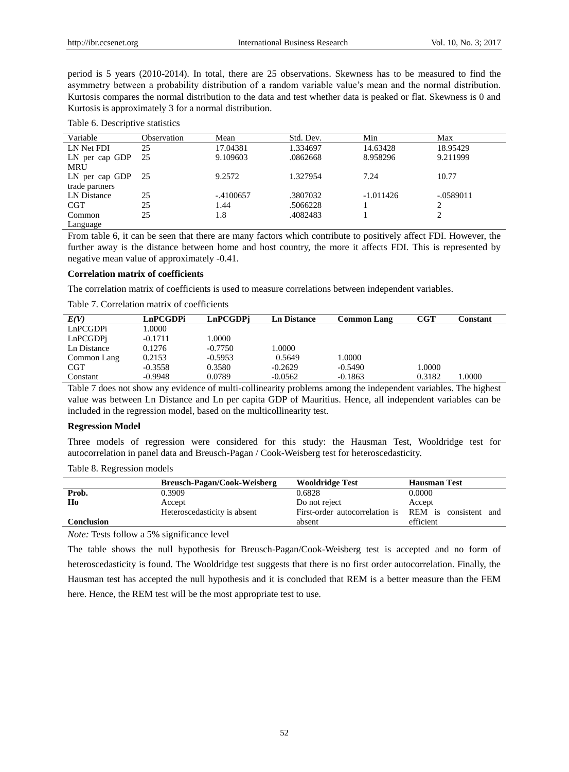period is 5 years (2010-2014). In total, there are 25 observations. Skewness has to be measured to find the asymmetry between a probability distribution of a random variable value"s mean and the normal distribution. Kurtosis compares the normal distribution to the data and test whether data is peaked or flat. Skewness is 0 and Kurtosis is approximately 3 for a normal distribution.

| Variable       | Observation | Mean       | Std. Dev. | Min         | Max         |
|----------------|-------------|------------|-----------|-------------|-------------|
| LN Net FDI     | 25          | 17.04381   | 1.334697  | 14.63428    | 18.95429    |
| LN per cap GDP | 25          | 9.109603   | .0862668  | 8.958296    | 9.211999    |
| MRU            |             |            |           |             |             |
| LN per cap GDP | 25          | 9.2572     | 1.327954  | 7.24        | 10.77       |
| trade partners |             |            |           |             |             |
| LN Distance    | 25          | $-4100657$ | .3807032  | $-1.011426$ | $-.0589011$ |
| <b>CGT</b>     | 25          | 1.44       | .5066228  |             |             |
| Common         | 25          | 1.8        | .4082483  |             | ◠           |
| Language       |             |            |           |             |             |

From table 6, it can be seen that there are many factors which contribute to positively affect FDI. However, the further away is the distance between home and host country, the more it affects FDI. This is represented by negative mean value of approximately -0.41.

## **Correlation matrix of coefficients**

The correlation matrix of coefficients is used to measure correlations between independent variables.

|  |  | Table 7. Correlation matrix of coefficients |
|--|--|---------------------------------------------|
|  |  |                                             |

| E(V)                 | LnPCGDPi  | LnPCGDPi  | <b>Ln Distance</b> | <b>Common Lang</b> | $_{\rm CGT}$ | Constant |
|----------------------|-----------|-----------|--------------------|--------------------|--------------|----------|
| LnPCGDPi             | 1.0000    |           |                    |                    |              |          |
| LnPCGDP <sub>1</sub> | $-0.1711$ | .0000     |                    |                    |              |          |
| Ln Distance          | 0.1276    | $-0.7750$ | .0000              |                    |              |          |
| Common Lang          | 0.2153    | $-0.5953$ | 0.5649             | 1.0000             |              |          |
| <b>CGT</b>           | $-0.3558$ | 0.3580    | $-0.2629$          | $-0.5490$          | .0000        |          |
| Constant             | $-0.9948$ | 0.0789    | $-0.0562$          | $-0.1863$          | 0.3182       | 1.0000   |

Table 7 does not show any evidence of multi-collinearity problems among the independent variables. The highest value was between Ln Distance and Ln per capita GDP of Mauritius. Hence, all independent variables can be included in the regression model, based on the multicollinearity test.

#### **Regression Model**

Three models of regression were considered for this study: the Hausman Test, Wooldridge test for autocorrelation in panel data and Breusch-Pagan / Cook-Weisberg test for heteroscedasticity.

Table 8. Regression models

|            | Breusch-Pagan/Cook-Weisberg  | <b>Wooldridge Test</b>         | <b>Hausman Test</b>      |
|------------|------------------------------|--------------------------------|--------------------------|
| Prob.      | 0.3909                       | 0.6828                         | 0.0000                   |
| Ho         | Accept                       | Do not reject                  | Accept                   |
|            | Heteroscedasticity is absent | First-order autocorrelation is | REM is<br>consistent and |
| Conclusion |                              | absent                         | efficient                |

*Note:* Tests follow a 5% significance level

The table shows the null hypothesis for Breusch-Pagan/Cook-Weisberg test is accepted and no form of heteroscedasticity is found. The Wooldridge test suggests that there is no first order autocorrelation. Finally, the Hausman test has accepted the null hypothesis and it is concluded that REM is a better measure than the FEM here. Hence, the REM test will be the most appropriate test to use.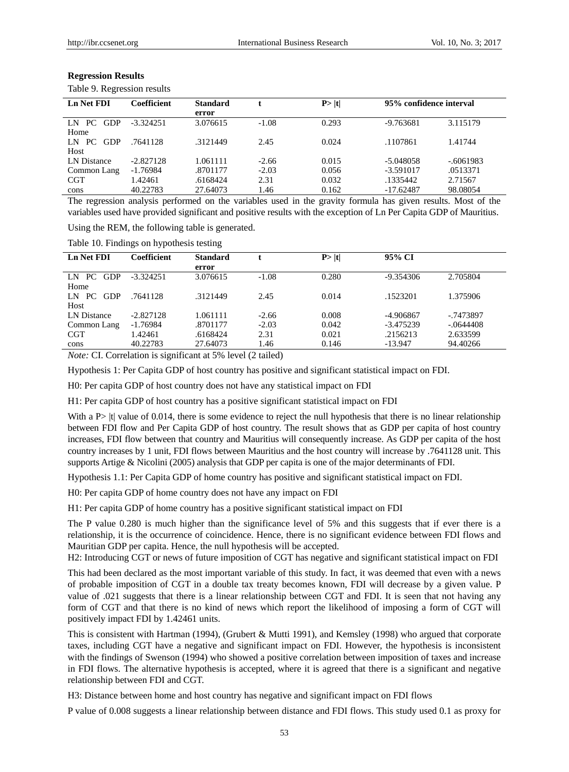# **Regression Results**

Table 9. Regression results

| <b>Ln Net FDI</b>      | Coefficient | <b>Standard</b> |         | P >  t | 95% confidence interval |             |
|------------------------|-------------|-----------------|---------|--------|-------------------------|-------------|
|                        |             | error           |         |        |                         |             |
| GDP<br>PC<br>LN.       | $-3.324251$ | 3.076615        | $-1.08$ | 0.293  | $-9.763681$             | 3.115179    |
| Home                   |             |                 |         |        |                         |             |
| <b>GDP</b><br>LN<br>PC | .7641128    | .3121449        | 2.45    | 0.024  | .1107861                | 1.41744     |
| Host                   |             |                 |         |        |                         |             |
| <b>LN</b> Distance     | $-2.827128$ | 1.061111        | $-2.66$ | 0.015  | $-5.048058$             | $-.6061983$ |
| Common Lang            | $-1.76984$  | .8701177        | $-2.03$ | 0.056  | $-3.591017$             | .0513371    |
| <b>CGT</b>             | 1.42461     | .6168424        | 2.31    | 0.032  | .1335442                | 2.71567     |
| cons                   | 40.22783    | 27.64073        | 1.46    | 0.162  | $-17.62487$             | 98.08054    |
|                        |             |                 |         |        |                         |             |

The regression analysis performed on the variables used in the gravity formula has given results. Most of the variables used have provided significant and positive results with the exception of Ln Per Capita GDP of Mauritius.

Using the REM, the following table is generated.

Table 10. Findings on hypothesis testing

| Coefficient | <b>Standard</b> |         | P> t  | 95% CI      |             |
|-------------|-----------------|---------|-------|-------------|-------------|
|             | error           |         |       |             |             |
| $-3.324251$ | 3.076615        | $-1.08$ | 0.280 | $-9.354306$ | 2.705804    |
|             |                 |         |       |             |             |
| .7641128    | .3121449        | 2.45    | 0.014 | .1523201    | 1.375906    |
|             |                 |         |       |             |             |
| $-2.827128$ | 1.061111        | $-2.66$ | 0.008 | -4.906867   | -.7473897   |
| $-1.76984$  | .8701177        | $-2.03$ | 0.042 | $-3.475239$ | $-.0644408$ |
| 1.42461     | .6168424        | 2.31    | 0.021 | .2156213    | 2.633599    |
| 40.22783    | 27.64073        | 1.46    | 0.146 | $-13.947$   | 94.40266    |
|             |                 |         |       |             |             |

*Note:* CI. Correlation is significant at 5% level (2 tailed)

Hypothesis 1: Per Capita GDP of host country has positive and significant statistical impact on FDI.

H0: Per capita GDP of host country does not have any statistical impact on FDI

H1: Per capita GDP of host country has a positive significant statistical impact on FDI

With a P> |t| value of 0.014, there is some evidence to reject the null hypothesis that there is no linear relationship between FDI flow and Per Capita GDP of host country. The result shows that as GDP per capita of host country increases, FDI flow between that country and Mauritius will consequently increase. As GDP per capita of the host country increases by 1 unit, FDI flows between Mauritius and the host country will increase by .7641128 unit. This supports Artige & Nicolini (2005) analysis that GDP per capita is one of the major determinants of FDI.

Hypothesis 1.1: Per Capita GDP of home country has positive and significant statistical impact on FDI.

H0: Per capita GDP of home country does not have any impact on FDI

H1: Per capita GDP of home country has a positive significant statistical impact on FDI

The P value 0.280 is much higher than the significance level of 5% and this suggests that if ever there is a relationship, it is the occurrence of coincidence. Hence, there is no significant evidence between FDI flows and Mauritian GDP per capita. Hence, the null hypothesis will be accepted.

H2: Introducing CGT or news of future imposition of CGT has negative and significant statistical impact on FDI

This had been declared as the most important variable of this study. In fact, it was deemed that even with a news of probable imposition of CGT in a double tax treaty becomes known, FDI will decrease by a given value. P value of .021 suggests that there is a linear relationship between CGT and FDI. It is seen that not having any form of CGT and that there is no kind of news which report the likelihood of imposing a form of CGT will positively impact FDI by 1.42461 units.

This is consistent with Hartman (1994), (Grubert & Mutti 1991), and Kemsley (1998) who argued that corporate taxes, including CGT have a negative and significant impact on FDI. However, the hypothesis is inconsistent with the findings of Swenson (1994) who showed a positive correlation between imposition of taxes and increase in FDI flows. The alternative hypothesis is accepted, where it is agreed that there is a significant and negative relationship between FDI and CGT.

H3: Distance between home and host country has negative and significant impact on FDI flows

P value of 0.008 suggests a linear relationship between distance and FDI flows. This study used 0.1 as proxy for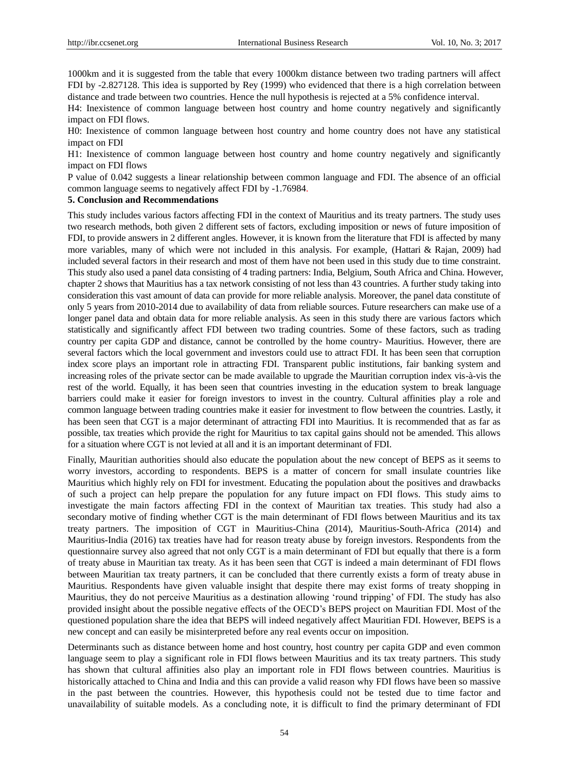1000km and it is suggested from the table that every 1000km distance between two trading partners will affect FDI by -2.827128. This idea is supported by Rey (1999) who evidenced that there is a high correlation between distance and trade between two countries. Hence the null hypothesis is rejected at a 5% confidence interval.

H4: Inexistence of common language between host country and home country negatively and significantly impact on FDI flows.

H0: Inexistence of common language between host country and home country does not have any statistical impact on FDI

H1: Inexistence of common language between host country and home country negatively and significantly impact on FDI flows

P value of 0.042 suggests a linear relationship between common language and FDI. The absence of an official common language seems to negatively affect FDI by -1.76984.

## **5. Conclusion and Recommendations**

This study includes various factors affecting FDI in the context of Mauritius and its treaty partners. The study uses two research methods, both given 2 different sets of factors, excluding imposition or news of future imposition of FDI, to provide answers in 2 different angles. However, it is known from the literature that FDI is affected by many more variables, many of which were not included in this analysis. For example, (Hattari & Rajan, 2009) had included several factors in their research and most of them have not been used in this study due to time constraint. This study also used a panel data consisting of 4 trading partners: India, Belgium, South Africa and China. However, chapter 2 shows that Mauritius has a tax network consisting of not less than 43 countries. A further study taking into consideration this vast amount of data can provide for more reliable analysis. Moreover, the panel data constitute of only 5 years from 2010-2014 due to availability of data from reliable sources. Future researchers can make use of a longer panel data and obtain data for more reliable analysis. As seen in this study there are various factors which statistically and significantly affect FDI between two trading countries. Some of these factors, such as trading country per capita GDP and distance, cannot be controlled by the home country- Mauritius. However, there are several factors which the local government and investors could use to attract FDI. It has been seen that corruption index score plays an important role in attracting FDI. Transparent public institutions, fair banking system and increasing roles of the private sector can be made available to upgrade the Mauritian corruption index vis- $\grave{a}$ vis the rest of the world. Equally, it has been seen that countries investing in the education system to break language barriers could make it easier for foreign investors to invest in the country. Cultural affinities play a role and common language between trading countries make it easier for investment to flow between the countries. Lastly, it has been seen that CGT is a major determinant of attracting FDI into Mauritius. It is recommended that as far as possible, tax treaties which provide the right for Mauritius to tax capital gains should not be amended. This allows for a situation where CGT is not levied at all and it is an important determinant of FDI.

Finally, Mauritian authorities should also educate the population about the new concept of BEPS as it seems to worry investors, according to respondents. BEPS is a matter of concern for small insulate countries like Mauritius which highly rely on FDI for investment. Educating the population about the positives and drawbacks of such a project can help prepare the population for any future impact on FDI flows. This study aims to investigate the main factors affecting FDI in the context of Mauritian tax treaties. This study had also a secondary motive of finding whether CGT is the main determinant of FDI flows between Mauritius and its tax treaty partners. The imposition of CGT in Mauritius-China (2014), Mauritius-South-Africa (2014) and Mauritius-India (2016) tax treaties have had for reason treaty abuse by foreign investors. Respondents from the questionnaire survey also agreed that not only CGT is a main determinant of FDI but equally that there is a form of treaty abuse in Mauritian tax treaty. As it has been seen that CGT is indeed a main determinant of FDI flows between Mauritian tax treaty partners, it can be concluded that there currently exists a form of treaty abuse in Mauritius. Respondents have given valuable insight that despite there may exist forms of treaty shopping in Mauritius, they do not perceive Mauritius as a destination allowing "round tripping" of FDI. The study has also provided insight about the possible negative effects of the OECD"s BEPS project on Mauritian FDI. Most of the questioned population share the idea that BEPS will indeed negatively affect Mauritian FDI. However, BEPS is a new concept and can easily be misinterpreted before any real events occur on imposition.

Determinants such as distance between home and host country, host country per capita GDP and even common language seem to play a significant role in FDI flows between Mauritius and its tax treaty partners. This study has shown that cultural affinities also play an important role in FDI flows between countries. Mauritius is historically attached to China and India and this can provide a valid reason why FDI flows have been so massive in the past between the countries. However, this hypothesis could not be tested due to time factor and unavailability of suitable models. As a concluding note, it is difficult to find the primary determinant of FDI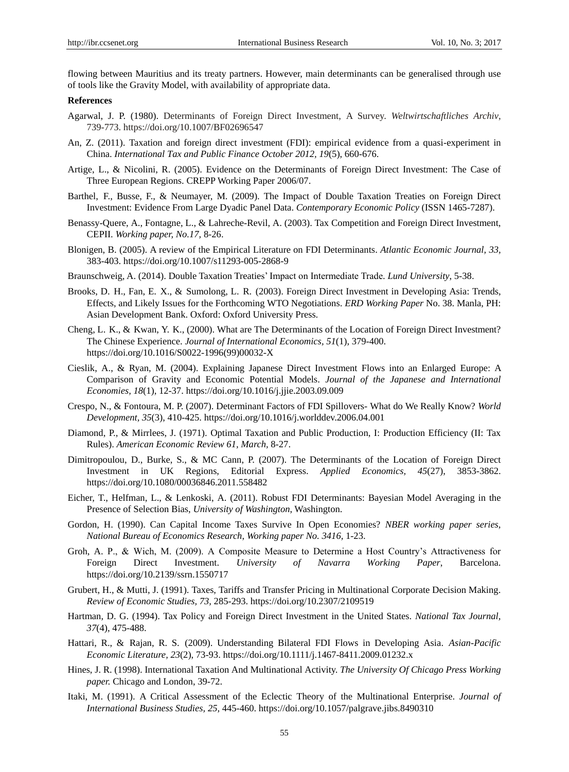flowing between Mauritius and its treaty partners. However, main determinants can be generalised through use of tools like the Gravity Model, with availability of appropriate data.

#### **References**

- Agarwal, J. P. (1980). Determinants of Foreign Direct Investment, A Survey. *Weltwirtschaftliches Archiv*, 739-773. https://doi.org/10.1007/BF02696547
- An, Z. (2011). Taxation and foreign direct investment (FDI): empirical evidence from a quasi-experiment in China. *International Tax and Public Finance October 2012, 19*(5), 660-676.
- Artige, L., & Nicolini, R. (2005). Evidence on the Determinants of Foreign Direct Investment: The Case of Three European Regions. CREPP Working Paper 2006/07.
- Barthel, F., Busse, F., & Neumayer, M. (2009). The Impact of Double Taxation Treaties on Foreign Direct Investment: Evidence From Large Dyadic Panel Data. *Contemporary Economic Policy* (ISSN 1465-7287).
- Benassy-Quere, A., Fontagne, L., & Lahreche-Revil, A. (2003). Tax Competition and Foreign Direct Investment, CEPII. *Working paper, No.17,* 8-26.
- Blonigen, B. (2005). A review of the Empirical Literature on FDI Determinants. *Atlantic Economic Journal, 33,*  383-403. https://doi.org/10.1007/s11293-005-2868-9
- Braunschweig, A. (2014). Double Taxation Treaties" Impact on Intermediate Trade. *Lund University*, 5-38.
- Brooks, D. H., Fan, E. X., & Sumolong, L. R. (2003). Foreign Direct Investment in Developing Asia: Trends, Effects, and Likely Issues for the Forthcoming WTO Negotiations. *ERD Working Paper* No. 38. Manla, PH: Asian Development Bank. Oxford: Oxford University Press.
- Cheng, L. K., & Kwan, Y. K., (2000). What are The Determinants of the Location of Foreign Direct Investment? The Chinese Experience. *Journal of International Economics, 51*(1), 379-400. https://doi.org/10.1016/S0022-1996(99)00032-X
- Cieslik, A., & Ryan, M. (2004). Explaining Japanese Direct Investment Flows into an Enlarged Europe: A Comparison of Gravity and Economic Potential Models. *Journal of the Japanese and International Economies, 18*(1), 12-37. https://doi.org/10.1016/j.jjie.2003.09.009
- Crespo, N., & Fontoura, M. P. (2007). Determinant Factors of FDI Spillovers- What do We Really Know? *World Development, 35*(3), 410-425. https://doi.org/10.1016/j.worlddev.2006.04.001
- Diamond, P., & Mirrlees, J. (1971). Optimal Taxation and Public Production, I: Production Efficiency (II: Tax Rules). *American Economic Review 61, March,* 8-27.
- Dimitropoulou, D., Burke, S., & MC Cann, P. (2007). The Determinants of the Location of Foreign Direct Investment in UK Regions, Editorial Express. *Applied Economics, 45*(27), 3853-3862. https://doi.org/10.1080/00036846.2011.558482
- Eicher, T., Helfman, L., & Lenkoski, A. (2011). Robust FDI Determinants: Bayesian Model Averaging in the Presence of Selection Bias, *University of Washington*, Washington.
- Gordon, H. (1990). Can Capital Income Taxes Survive In Open Economies? *NBER working paper series, National Bureau of Economics Research*, *Working paper No. 3416,* 1-23.
- Groh, A. P., & Wich, M. (2009). A Composite Measure to Determine a Host Country"s Attractiveness for Foreign Direct Investment. *University of Navarra Working Paper*, Barcelona. https://doi.org/10.2139/ssrn.1550717
- Grubert, H., & Mutti, J. (1991). Taxes, Tariffs and Transfer Pricing in Multinational Corporate Decision Making. *Review of Economic Studies, 73,* 285-293. https://doi.org/10.2307/2109519
- Hartman, D. G. (1994). Tax Policy and Foreign Direct Investment in the United States. *National Tax Journal, 37*(4), 475-488.
- Hattari, R., & Rajan, R. S. (2009). Understanding Bilateral FDI Flows in Developing Asia. *Asian-Pacific Economic Literature, 23*(2), 73-93. https://doi.org/10.1111/j.1467-8411.2009.01232.x
- Hines, J. R. (1998). International Taxation And Multinational Activity. *The University Of Chicago Press Working paper.* Chicago and London, 39-72.
- Itaki, M. (1991). A Critical Assessment of the Eclectic Theory of the Multinational Enterprise. *Journal of International Business Studies, 25,* 445-460. https://doi.org/10.1057/palgrave.jibs.8490310